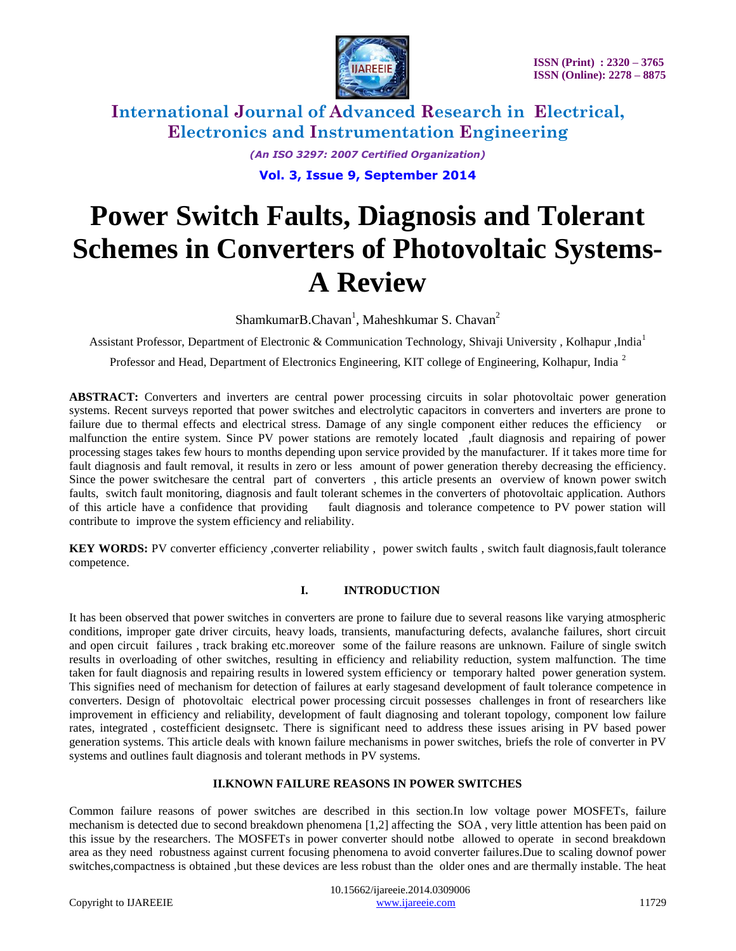

> *(An ISO 3297: 2007 Certified Organization)* **Vol. 3, Issue 9, September 2014**

# **Power Switch Faults, Diagnosis and Tolerant Schemes in Converters of Photovoltaic Systems-A Review**

Shamkumar $B$ .Chavan<sup>1</sup>, Maheshkumar S. Chavan<sup>2</sup>

Assistant Professor, Department of Electronic & Communication Technology, Shivaji University , Kolhapur ,India<sup>1</sup>

Professor and Head, Department of Electronics Engineering, KIT college of Engineering, Kolhapur, India <sup>2</sup>

**ABSTRACT:** Converters and inverters are central power processing circuits in solar photovoltaic power generation systems. Recent surveys reported that power switches and electrolytic capacitors in converters and inverters are prone to failure due to thermal effects and electrical stress. Damage of any single component either reduces the efficiency or malfunction the entire system. Since PV power stations are remotely located ,fault diagnosis and repairing of power processing stages takes few hours to months depending upon service provided by the manufacturer. If it takes more time for fault diagnosis and fault removal, it results in zero or less amount of power generation thereby decreasing the efficiency. Since the power switchesare the central part of converters , this article presents an overview of known power switch faults, switch fault monitoring, diagnosis and fault tolerant schemes in the converters of photovoltaic application. Authors of this article have a confidence that providing fault diagnosis and tolerance competence to PV power station will contribute to improve the system efficiency and reliability.

KEY WORDS: PV converter efficiency ,converter reliability, power switch faults , switch fault diagnosis,fault tolerance competence.

### **I. INTRODUCTION**

It has been observed that power switches in converters are prone to failure due to several reasons like varying atmospheric conditions, improper gate driver circuits, heavy loads, transients, manufacturing defects, avalanche failures, short circuit and open circuit failures , track braking etc.moreover some of the failure reasons are unknown. Failure of single switch results in overloading of other switches, resulting in efficiency and reliability reduction, system malfunction. The time taken for fault diagnosis and repairing results in lowered system efficiency or temporary halted power generation system. This signifies need of mechanism for detection of failures at early stagesand development of fault tolerance competence in converters. Design of photovoltaic electrical power processing circuit possesses challenges in front of researchers like improvement in efficiency and reliability, development of fault diagnosing and tolerant topology, component low failure rates, integrated , costefficient designsetc. There is significant need to address these issues arising in PV based power generation systems. This article deals with known failure mechanisms in power switches, briefs the role of converter in PV systems and outlines fault diagnosis and tolerant methods in PV systems.

### **II.KNOWN FAILURE REASONS IN POWER SWITCHES**

Common failure reasons of power switches are described in this section.In low voltage power MOSFETs, failure mechanism is detected due to second breakdown phenomena [1,2] affecting the SOA , very little attention has been paid on this issue by the researchers. The MOSFETs in power converter should notbe allowed to operate in second breakdown area as they need robustness against current focusing phenomena to avoid converter failures.Due to scaling downof power switches,compactness is obtained ,but these devices are less robust than the older ones and are thermally instable. The heat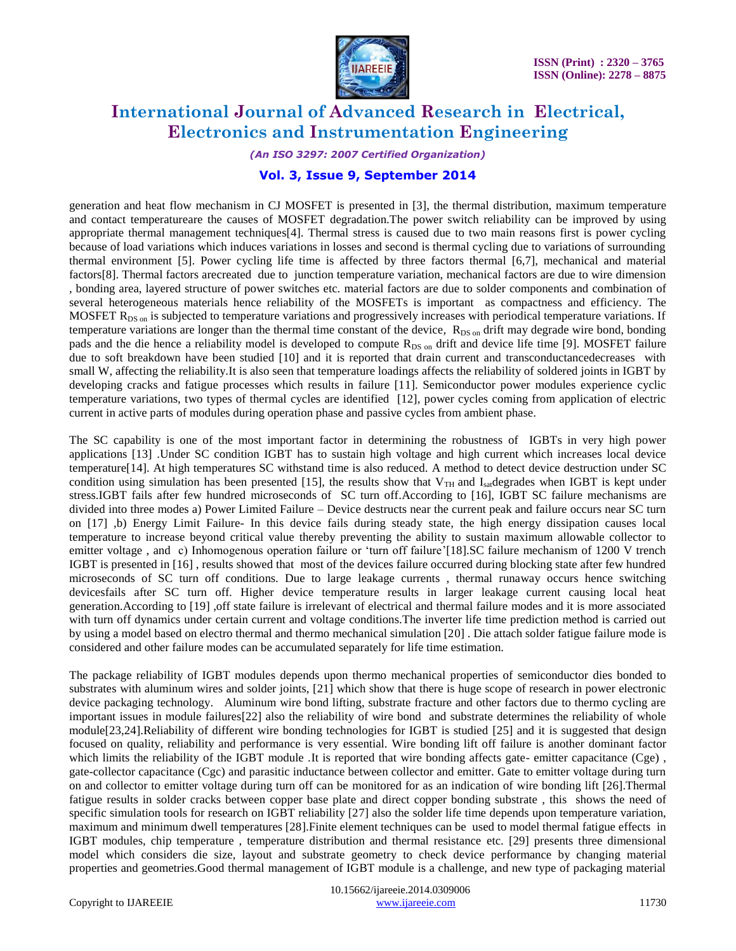

*(An ISO 3297: 2007 Certified Organization)*

### **Vol. 3, Issue 9, September 2014**

generation and heat flow mechanism in CJ MOSFET is presented in [3], the thermal distribution, maximum temperature and contact temperatureare the causes of MOSFET degradation.The power switch reliability can be improved by using appropriate thermal management techniques[4]. Thermal stress is caused due to two main reasons first is power cycling because of load variations which induces variations in losses and second is thermal cycling due to variations of surrounding thermal environment [5]. Power cycling life time is affected by three factors thermal [6,7], mechanical and material factors[8]. Thermal factors arecreated due to junction temperature variation, mechanical factors are due to wire dimension , bonding area, layered structure of power switches etc. material factors are due to solder components and combination of several heterogeneous materials hence reliability of the MOSFETs is important as compactness and efficiency. The MOSFET  $R_{DS \text{ on }}$  is subjected to temperature variations and progressively increases with periodical temperature variations. If temperature variations are longer than the thermal time constant of the device, R<sub>DS on</sub> drift may degrade wire bond, bonding pads and the die hence a reliability model is developed to compute  $R_{DS}$  on drift and device life time [9]. MOSFET failure due to soft breakdown have been studied [10] and it is reported that drain current and transconductancedecreases with small W, affecting the reliability.It is also seen that temperature loadings affects the reliability of soldered joints in IGBT by developing cracks and fatigue processes which results in failure [11]. Semiconductor power modules experience cyclic temperature variations, two types of thermal cycles are identified [12], power cycles coming from application of electric current in active parts of modules during operation phase and passive cycles from ambient phase.

The SC capability is one of the most important factor in determining the robustness of IGBTs in very high power applications [13] .Under SC condition IGBT has to sustain high voltage and high current which increases local device temperature[14]. At high temperatures SC withstand time is also reduced. A method to detect device destruction under SC condition using simulation has been presented [15], the results show that  $V_{TH}$  and  $I_{sat}$  degrades when IGBT is kept under stress.IGBT fails after few hundred microseconds of SC turn off.According to [16], IGBT SC failure mechanisms are divided into three modes a) Power Limited Failure – Device destructs near the current peak and failure occurs near SC turn on [17] ,b) Energy Limit Failure- In this device fails during steady state, the high energy dissipation causes local temperature to increase beyond critical value thereby preventing the ability to sustain maximum allowable collector to emitter voltage, and c) Inhomogenous operation failure or 'turn off failure'[18]. SC failure mechanism of 1200 V trench IGBT is presented in [16] , results showed that most of the devices failure occurred during blocking state after few hundred microseconds of SC turn off conditions. Due to large leakage currents , thermal runaway occurs hence switching devicesfails after SC turn off. Higher device temperature results in larger leakage current causing local heat generation.According to [19] ,off state failure is irrelevant of electrical and thermal failure modes and it is more associated with turn off dynamics under certain current and voltage conditions.The inverter life time prediction method is carried out by using a model based on electro thermal and thermo mechanical simulation [20] . Die attach solder fatigue failure mode is considered and other failure modes can be accumulated separately for life time estimation.

The package reliability of IGBT modules depends upon thermo mechanical properties of semiconductor dies bonded to substrates with aluminum wires and solder joints, [21] which show that there is huge scope of research in power electronic device packaging technology. Aluminum wire bond lifting, substrate fracture and other factors due to thermo cycling are important issues in module failures[22] also the reliability of wire bond and substrate determines the reliability of whole module[23,24].Reliability of different wire bonding technologies for IGBT is studied [25] and it is suggested that design focused on quality, reliability and performance is very essential. Wire bonding lift off failure is another dominant factor which limits the reliability of the IGBT module .It is reported that wire bonding affects gate- emitter capacitance (Cge), gate-collector capacitance (Cgc) and parasitic inductance between collector and emitter. Gate to emitter voltage during turn on and collector to emitter voltage during turn off can be monitored for as an indication of wire bonding lift [26].Thermal fatigue results in solder cracks between copper base plate and direct copper bonding substrate , this shows the need of specific simulation tools for research on IGBT reliability [27] also the solder life time depends upon temperature variation, maximum and minimum dwell temperatures [28].Finite element techniques can be used to model thermal fatigue effects in IGBT modules, chip temperature , temperature distribution and thermal resistance etc. [29] presents three dimensional model which considers die size, layout and substrate geometry to check device performance by changing material properties and geometries.Good thermal management of IGBT module is a challenge, and new type of packaging material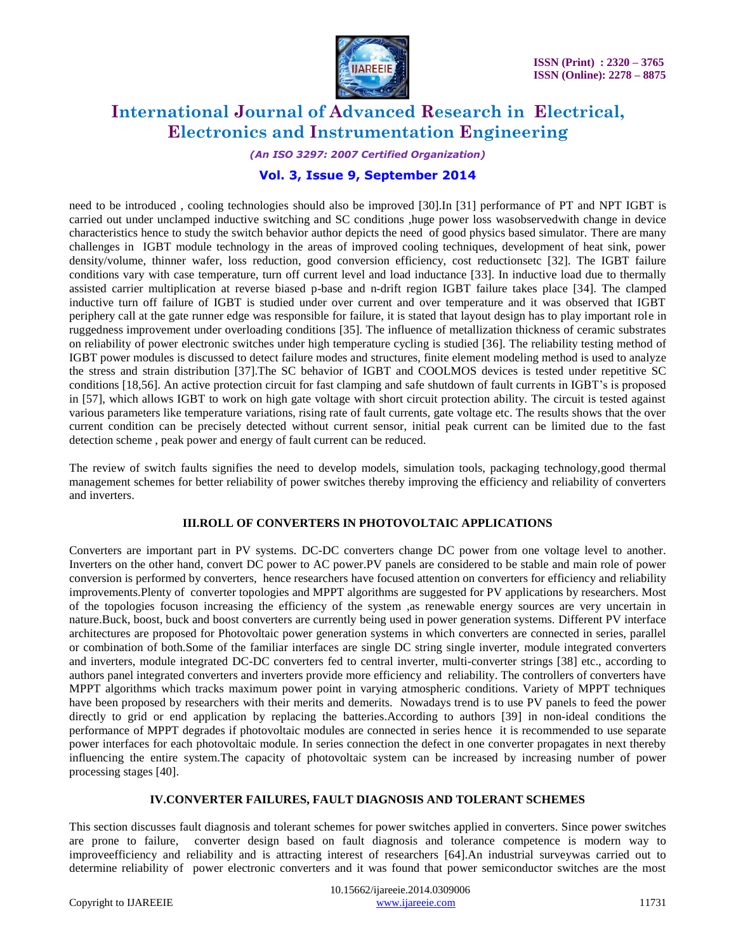

*(An ISO 3297: 2007 Certified Organization)*

### **Vol. 3, Issue 9, September 2014**

need to be introduced , cooling technologies should also be improved [30].In [31] performance of PT and NPT IGBT is carried out under unclamped inductive switching and SC conditions ,huge power loss wasobservedwith change in device characteristics hence to study the switch behavior author depicts the need of good physics based simulator. There are many challenges in IGBT module technology in the areas of improved cooling techniques, development of heat sink, power density/volume, thinner wafer, loss reduction, good conversion efficiency, cost reductionsetc [32]. The IGBT failure conditions vary with case temperature, turn off current level and load inductance [33]. In inductive load due to thermally assisted carrier multiplication at reverse biased p-base and n-drift region IGBT failure takes place [34]. The clamped inductive turn off failure of IGBT is studied under over current and over temperature and it was observed that IGBT periphery call at the gate runner edge was responsible for failure, it is stated that layout design has to play important role in ruggedness improvement under overloading conditions [35]. The influence of metallization thickness of ceramic substrates on reliability of power electronic switches under high temperature cycling is studied [36]. The reliability testing method of IGBT power modules is discussed to detect failure modes and structures, finite element modeling method is used to analyze the stress and strain distribution [37].The SC behavior of IGBT and COOLMOS devices is tested under repetitive SC conditions [18,56]. An active protection circuit for fast clamping and safe shutdown of fault currents in IGBT's is proposed in [57], which allows IGBT to work on high gate voltage with short circuit protection ability. The circuit is tested against various parameters like temperature variations, rising rate of fault currents, gate voltage etc. The results shows that the over current condition can be precisely detected without current sensor, initial peak current can be limited due to the fast detection scheme , peak power and energy of fault current can be reduced.

The review of switch faults signifies the need to develop models, simulation tools, packaging technology,good thermal management schemes for better reliability of power switches thereby improving the efficiency and reliability of converters and inverters.

#### **III.ROLL OF CONVERTERS IN PHOTOVOLTAIC APPLICATIONS**

Converters are important part in PV systems. DC-DC converters change DC power from one voltage level to another. Inverters on the other hand, convert DC power to AC power.PV panels are considered to be stable and main role of power conversion is performed by converters, hence researchers have focused attention on converters for efficiency and reliability improvements.Plenty of converter topologies and MPPT algorithms are suggested for PV applications by researchers. Most of the topologies focuson increasing the efficiency of the system ,as renewable energy sources are very uncertain in nature.Buck, boost, buck and boost converters are currently being used in power generation systems. Different PV interface architectures are proposed for Photovoltaic power generation systems in which converters are connected in series, parallel or combination of both.Some of the familiar interfaces are single DC string single inverter, module integrated converters and inverters, module integrated DC-DC converters fed to central inverter, multi-converter strings [38] etc., according to authors panel integrated converters and inverters provide more efficiency and reliability. The controllers of converters have MPPT algorithms which tracks maximum power point in varying atmospheric conditions. Variety of MPPT techniques have been proposed by researchers with their merits and demerits. Nowadays trend is to use PV panels to feed the power directly to grid or end application by replacing the batteries.According to authors [39] in non-ideal conditions the performance of MPPT degrades if photovoltaic modules are connected in series hence it is recommended to use separate power interfaces for each photovoltaic module. In series connection the defect in one converter propagates in next thereby influencing the entire system.The capacity of photovoltaic system can be increased by increasing number of power processing stages [40].

#### **IV.CONVERTER FAILURES, FAULT DIAGNOSIS AND TOLERANT SCHEMES**

This section discusses fault diagnosis and tolerant schemes for power switches applied in converters. Since power switches are prone to failure, converter design based on fault diagnosis and tolerance competence is modern way to improveefficiency and reliability and is attracting interest of researchers [64].An industrial surveywas carried out to determine reliability of power electronic converters and it was found that power semiconductor switches are the most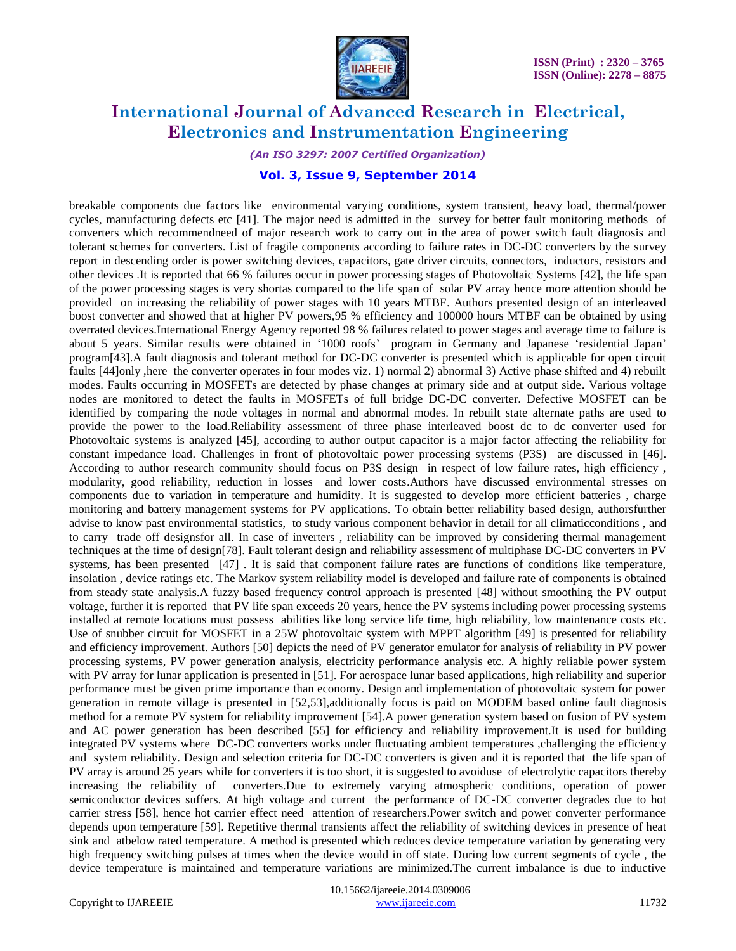

*(An ISO 3297: 2007 Certified Organization)*

### **Vol. 3, Issue 9, September 2014**

breakable components due factors like environmental varying conditions, system transient, heavy load, thermal/power cycles, manufacturing defects etc [41]. The major need is admitted in the survey for better fault monitoring methods of converters which recommendneed of major research work to carry out in the area of power switch fault diagnosis and tolerant schemes for converters. List of fragile components according to failure rates in DC-DC converters by the survey report in descending order is power switching devices, capacitors, gate driver circuits, connectors, inductors, resistors and other devices .It is reported that 66 % failures occur in power processing stages of Photovoltaic Systems [42], the life span of the power processing stages is very shortas compared to the life span of solar PV array hence more attention should be provided on increasing the reliability of power stages with 10 years MTBF. Authors presented design of an interleaved boost converter and showed that at higher PV powers,95 % efficiency and 100000 hours MTBF can be obtained by using overrated devices.International Energy Agency reported 98 % failures related to power stages and average time to failure is about 5 years. Similar results were obtained in "1000 roofs" program in Germany and Japanese "residential Japan" program[43].A fault diagnosis and tolerant method for DC-DC converter is presented which is applicable for open circuit faults [44]only ,here the converter operates in four modes viz. 1) normal 2) abnormal 3) Active phase shifted and 4) rebuilt modes. Faults occurring in MOSFETs are detected by phase changes at primary side and at output side. Various voltage nodes are monitored to detect the faults in MOSFETs of full bridge DC-DC converter. Defective MOSFET can be identified by comparing the node voltages in normal and abnormal modes. In rebuilt state alternate paths are used to provide the power to the load.Reliability assessment of three phase interleaved boost dc to dc converter used for Photovoltaic systems is analyzed [45], according to author output capacitor is a major factor affecting the reliability for constant impedance load. Challenges in front of photovoltaic power processing systems (P3S) are discussed in [46]. According to author research community should focus on P3S design in respect of low failure rates, high efficiency , modularity, good reliability, reduction in losses and lower costs.Authors have discussed environmental stresses on components due to variation in temperature and humidity. It is suggested to develop more efficient batteries , charge monitoring and battery management systems for PV applications. To obtain better reliability based design, authorsfurther advise to know past environmental statistics, to study various component behavior in detail for all climaticconditions , and to carry trade off designsfor all. In case of inverters , reliability can be improved by considering thermal management techniques at the time of design[78]. Fault tolerant design and reliability assessment of multiphase DC-DC converters in PV systems, has been presented [47] . It is said that component failure rates are functions of conditions like temperature, insolation , device ratings etc. The Markov system reliability model is developed and failure rate of components is obtained from steady state analysis.A fuzzy based frequency control approach is presented [48] without smoothing the PV output voltage, further it is reported that PV life span exceeds 20 years, hence the PV systems including power processing systems installed at remote locations must possess abilities like long service life time, high reliability, low maintenance costs etc. Use of snubber circuit for MOSFET in a 25W photovoltaic system with MPPT algorithm [49] is presented for reliability and efficiency improvement. Authors [50] depicts the need of PV generator emulator for analysis of reliability in PV power processing systems, PV power generation analysis, electricity performance analysis etc. A highly reliable power system with PV array for lunar application is presented in [51]. For aerospace lunar based applications, high reliability and superior performance must be given prime importance than economy. Design and implementation of photovoltaic system for power generation in remote village is presented in [52,53],additionally focus is paid on MODEM based online fault diagnosis method for a remote PV system for reliability improvement [54].A power generation system based on fusion of PV system and AC power generation has been described [55] for efficiency and reliability improvement.It is used for building integrated PV systems where DC-DC converters works under fluctuating ambient temperatures ,challenging the efficiency and system reliability. Design and selection criteria for DC-DC converters is given and it is reported that the life span of PV array is around 25 years while for converters it is too short, it is suggested to avoiduse of electrolytic capacitors thereby increasing the reliability of converters.Due to extremely varying atmospheric conditions, operation of power semiconductor devices suffers. At high voltage and current the performance of DC-DC converter degrades due to hot carrier stress [58], hence hot carrier effect need attention of researchers.Power switch and power converter performance depends upon temperature [59]. Repetitive thermal transients affect the reliability of switching devices in presence of heat sink and atbelow rated temperature. A method is presented which reduces device temperature variation by generating very high frequency switching pulses at times when the device would in off state. During low current segments of cycle , the device temperature is maintained and temperature variations are minimized.The current imbalance is due to inductive

 10.15662/ijareeie.2014.0309006 Copyright to IJAREEIE [www.ijareeie.com](http://www.ijareeie.com/) 11732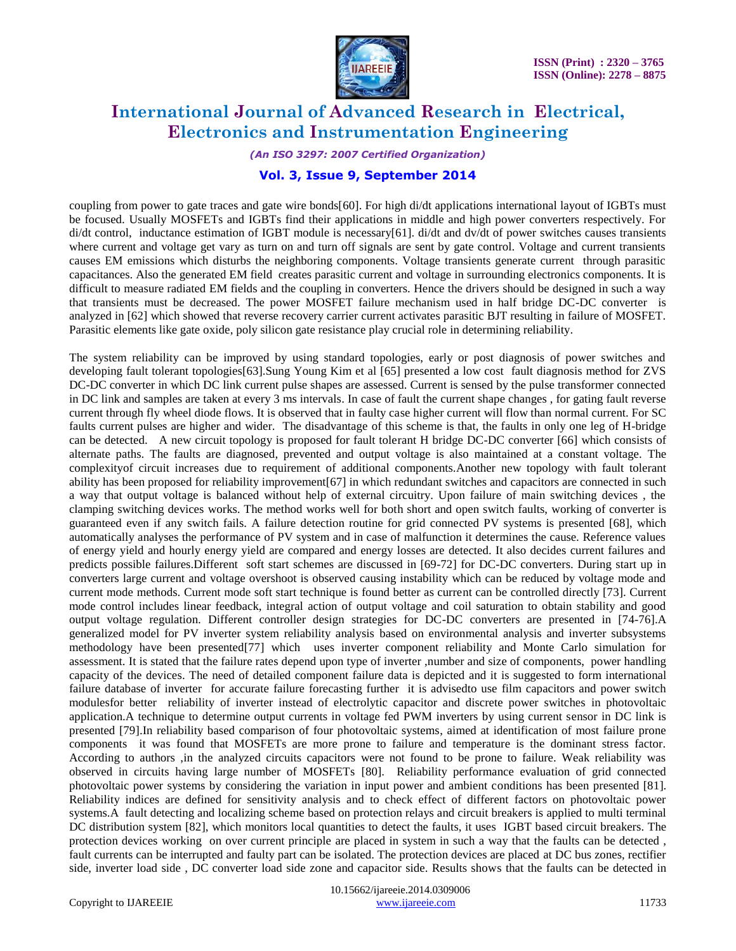

*(An ISO 3297: 2007 Certified Organization)*

### **Vol. 3, Issue 9, September 2014**

coupling from power to gate traces and gate wire bonds[60]. For high di/dt applications international layout of IGBTs must be focused. Usually MOSFETs and IGBTs find their applications in middle and high power converters respectively. For di/dt control, inductance estimation of IGBT module is necessary[61]. di/dt and dv/dt of power switches causes transients where current and voltage get vary as turn on and turn off signals are sent by gate control. Voltage and current transients causes EM emissions which disturbs the neighboring components. Voltage transients generate current through parasitic capacitances. Also the generated EM field creates parasitic current and voltage in surrounding electronics components. It is difficult to measure radiated EM fields and the coupling in converters. Hence the drivers should be designed in such a way that transients must be decreased. The power MOSFET failure mechanism used in half bridge DC-DC converter is analyzed in [62] which showed that reverse recovery carrier current activates parasitic BJT resulting in failure of MOSFET. Parasitic elements like gate oxide, poly silicon gate resistance play crucial role in determining reliability.

The system reliability can be improved by using standard topologies, early or post diagnosis of power switches and developing fault tolerant topologies[63].Sung Young Kim et al [65] presented a low cost fault diagnosis method for ZVS DC-DC converter in which DC link current pulse shapes are assessed. Current is sensed by the pulse transformer connected in DC link and samples are taken at every 3 ms intervals. In case of fault the current shape changes , for gating fault reverse current through fly wheel diode flows. It is observed that in faulty case higher current will flow than normal current. For SC faults current pulses are higher and wider. The disadvantage of this scheme is that, the faults in only one leg of H-bridge can be detected. A new circuit topology is proposed for fault tolerant H bridge DC-DC converter [66] which consists of alternate paths. The faults are diagnosed, prevented and output voltage is also maintained at a constant voltage. The complexityof circuit increases due to requirement of additional components.Another new topology with fault tolerant ability has been proposed for reliability improvement[67] in which redundant switches and capacitors are connected in such a way that output voltage is balanced without help of external circuitry. Upon failure of main switching devices , the clamping switching devices works. The method works well for both short and open switch faults, working of converter is guaranteed even if any switch fails. A failure detection routine for grid connected PV systems is presented [68], which automatically analyses the performance of PV system and in case of malfunction it determines the cause. Reference values of energy yield and hourly energy yield are compared and energy losses are detected. It also decides current failures and predicts possible failures.Different soft start schemes are discussed in [69-72] for DC-DC converters. During start up in converters large current and voltage overshoot is observed causing instability which can be reduced by voltage mode and current mode methods. Current mode soft start technique is found better as current can be controlled directly [73]. Current mode control includes linear feedback, integral action of output voltage and coil saturation to obtain stability and good output voltage regulation. Different controller design strategies for DC-DC converters are presented in [74-76].A generalized model for PV inverter system reliability analysis based on environmental analysis and inverter subsystems methodology have been presented[77] which uses inverter component reliability and Monte Carlo simulation for assessment. It is stated that the failure rates depend upon type of inverter ,number and size of components, power handling capacity of the devices. The need of detailed component failure data is depicted and it is suggested to form international failure database of inverter for accurate failure forecasting further it is advisedto use film capacitors and power switch modulesfor better reliability of inverter instead of electrolytic capacitor and discrete power switches in photovoltaic application.A technique to determine output currents in voltage fed PWM inverters by using current sensor in DC link is presented [79].In reliability based comparison of four photovoltaic systems, aimed at identification of most failure prone components it was found that MOSFETs are more prone to failure and temperature is the dominant stress factor. According to authors ,in the analyzed circuits capacitors were not found to be prone to failure. Weak reliability was observed in circuits having large number of MOSFETs [80]. Reliability performance evaluation of grid connected photovoltaic power systems by considering the variation in input power and ambient conditions has been presented [81]. Reliability indices are defined for sensitivity analysis and to check effect of different factors on photovoltaic power systems.A fault detecting and localizing scheme based on protection relays and circuit breakers is applied to multi terminal DC distribution system [82], which monitors local quantities to detect the faults, it uses IGBT based circuit breakers. The protection devices working on over current principle are placed in system in such a way that the faults can be detected , fault currents can be interrupted and faulty part can be isolated. The protection devices are placed at DC bus zones, rectifier side, inverter load side , DC converter load side zone and capacitor side. Results shows that the faults can be detected in

 10.15662/ijareeie.2014.0309006 Copyright to IJAREEIE [www.ijareeie.com](http://www.ijareeie.com/) 11733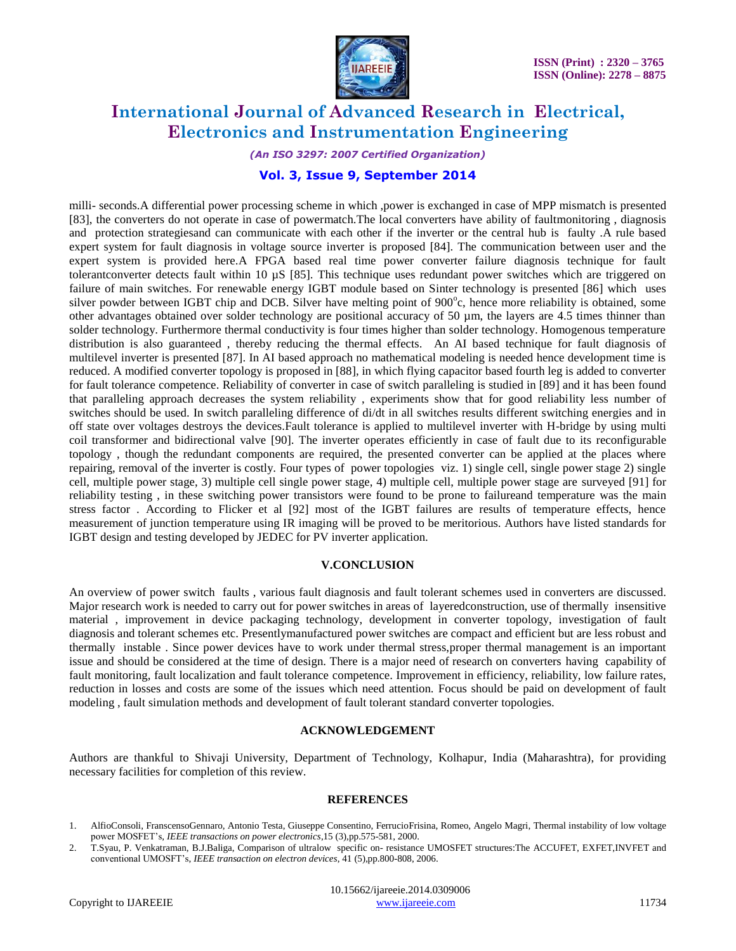

*(An ISO 3297: 2007 Certified Organization)*

### **Vol. 3, Issue 9, September 2014**

milli- seconds.A differential power processing scheme in which ,power is exchanged in case of MPP mismatch is presented [83], the converters do not operate in case of powermatch.The local converters have ability of faultmonitoring , diagnosis and protection strategiesand can communicate with each other if the inverter or the central hub is faulty .A rule based expert system for fault diagnosis in voltage source inverter is proposed [84]. The communication between user and the expert system is provided here.A FPGA based real time power converter failure diagnosis technique for fault tolerantconverter detects fault within 10 µS [85]. This technique uses redundant power switches which are triggered on failure of main switches. For renewable energy IGBT module based on Sinter technology is presented [86] which uses silver powder between IGBT chip and DCB. Silver have melting point of 900°c, hence more reliability is obtained, some other advantages obtained over solder technology are positional accuracy of 50 µm, the layers are 4.5 times thinner than solder technology. Furthermore thermal conductivity is four times higher than solder technology. Homogenous temperature distribution is also guaranteed , thereby reducing the thermal effects. An AI based technique for fault diagnosis of multilevel inverter is presented [87]. In AI based approach no mathematical modeling is needed hence development time is reduced. A modified converter topology is proposed in [88], in which flying capacitor based fourth leg is added to converter for fault tolerance competence. Reliability of converter in case of switch paralleling is studied in [89] and it has been found that paralleling approach decreases the system reliability , experiments show that for good reliability less number of switches should be used. In switch paralleling difference of di/dt in all switches results different switching energies and in off state over voltages destroys the devices.Fault tolerance is applied to multilevel inverter with H-bridge by using multi coil transformer and bidirectional valve [90]. The inverter operates efficiently in case of fault due to its reconfigurable topology , though the redundant components are required, the presented converter can be applied at the places where repairing, removal of the inverter is costly. Four types of power topologies viz. 1) single cell, single power stage 2) single cell, multiple power stage, 3) multiple cell single power stage, 4) multiple cell, multiple power stage are surveyed [91] for reliability testing , in these switching power transistors were found to be prone to failureand temperature was the main stress factor . According to Flicker et al [92] most of the IGBT failures are results of temperature effects, hence measurement of junction temperature using IR imaging will be proved to be meritorious. Authors have listed standards for IGBT design and testing developed by JEDEC for PV inverter application.

#### **V.CONCLUSION**

An overview of power switch faults, various fault diagnosis and fault tolerant schemes used in converters are discussed. Major research work is needed to carry out for power switches in areas of layeredconstruction, use of thermally insensitive material , improvement in device packaging technology, development in converter topology, investigation of fault diagnosis and tolerant schemes etc. Presentlymanufactured power switches are compact and efficient but are less robust and thermally instable . Since power devices have to work under thermal stress,proper thermal management is an important issue and should be considered at the time of design. There is a major need of research on converters having capability of fault monitoring, fault localization and fault tolerance competence. Improvement in efficiency, reliability, low failure rates, reduction in losses and costs are some of the issues which need attention. Focus should be paid on development of fault modeling , fault simulation methods and development of fault tolerant standard converter topologies.

#### **ACKNOWLEDGEMENT**

Authors are thankful to Shivaji University, Department of Technology, Kolhapur, India (Maharashtra), for providing necessary facilities for completion of this review.

#### **REFERENCES**

<sup>1.</sup> AlfioConsoli, FranscensoGennaro, Antonio Testa, Giuseppe Consentino, FerrucioFrisina, Romeo, Angelo Magri, Thermal instability of low voltage power MOSFET"s, *IEEE transactions on power electronics*,15 (3),pp.575-581, 2000.

<sup>2.</sup> T.Syau, P. Venkatraman, B.J.Baliga, Comparison of ultralow specific on- resistance UMOSFET structures:The ACCUFET, EXFET,INVFET and conventional UMOSFT"s, *IEEE transaction on electron devices*, 41 (5),pp.800-808, 2006.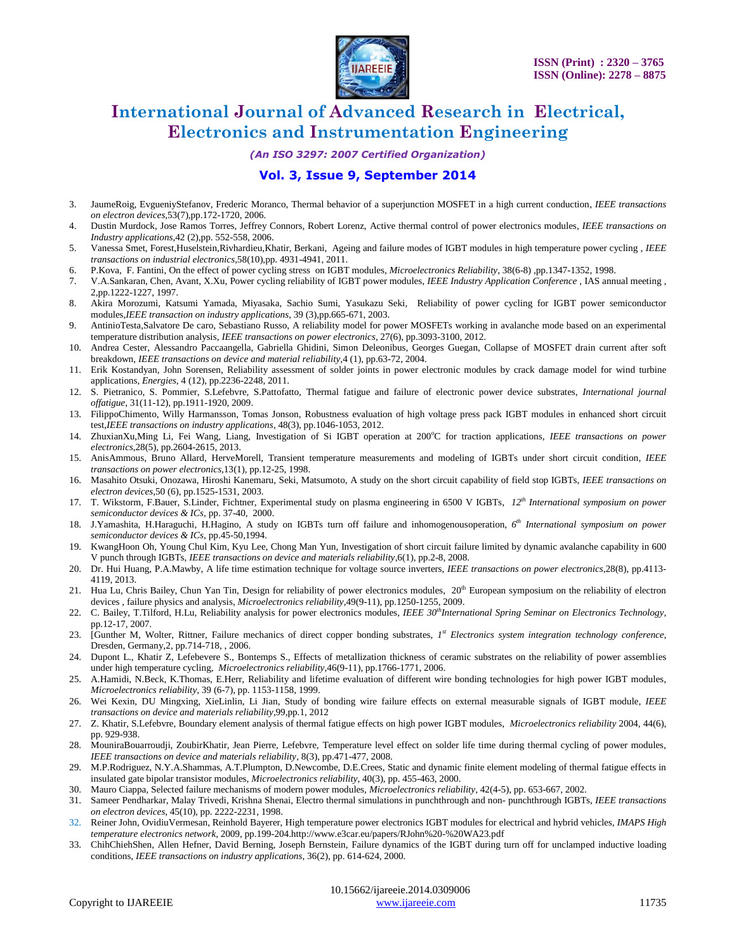

*(An ISO 3297: 2007 Certified Organization)*

### **Vol. 3, Issue 9, September 2014**

- 3. JaumeRoig, EvgueniyStefanov, Frederic Moranco, Thermal behavior of a superjunction MOSFET in a high current conduction, *IEEE transactions on electron devices*,53(7),pp.172-1720, 2006.
- 4. Dustin Murdock, Jose Ramos Torres, Jeffrey Connors, Robert Lorenz, Active thermal control of power electronics modules, *IEEE transactions on Industry applications*,42 (2),pp. 552-558, 2006.
- 5. Vanessa Smet, Forest,Huselstein,Rivhardieu,Khatir, Berkani, Ageing and failure modes of IGBT modules in high temperature power cycling , *IEEE transactions on industrial electronics*,58(10),pp. 4931-4941, 2011.
- 6. P.Kova, F. Fantini, On the effect of power cycling stress on IGBT modules, *Microelectronics Reliability*, 38(6-8) ,pp.1347-1352, 1998.
- 7. V.A.Sankaran, Chen, Avant, X.Xu, Power cycling reliability of IGBT power modules, *IEEE Industry Application Conference* , IAS annual meeting , 2,pp.1222-1227, 1997.
- 8. Akira Morozumi, Katsumi Yamada, Miyasaka, Sachio Sumi, Yasukazu Seki, Reliability of power cycling for IGBT power semiconductor modules,*IEEE transaction on industry applications*, 39 (3),pp.665-671, 2003.
- 9. AntinioTesta,Salvatore De caro, Sebastiano Russo, A reliability model for power MOSFETs working in avalanche mode based on an experimental temperature distribution analysis, *IEEE transactions on power electronics*, 27(6), pp.3093-3100, 2012.
- 10. Andrea Cester, Alessandro Paccaangella, Gabriella Ghidini, Simon Deleonibus, Georges Guegan, Collapse of MOSFET drain current after soft breakdown, *IEEE transactions on device and material reliability*,4 (1), pp.63-72, 2004.
- 11. Erik Kostandyan, John Sorensen, Reliability assessment of solder joints in power electronic modules by crack damage model for wind turbine applications, *Energies*, 4 (12), pp.2236-2248, 2011.
- 12. S. Pietranico, S. Pommier, S.Lefebvre, S.Pattofatto, Thermal fatigue and failure of electronic power device substrates, *International journal offatigue*, 31(11-12), pp.1911-1920, 2009.
- 13. FilippoChimento, Willy Harmansson, Tomas Jonson, Robustness evaluation of high voltage press pack IGBT modules in enhanced short circuit test,*IEEE transactions on industry applications*, 48(3), pp.1046-1053, 2012.
- 14. ZhuxianXu,Ming Li, Fei Wang, Liang, Investigation of Si IGBT operation at 200°C for traction applications, *IEEE transactions on power electronics*,28(5), pp.2604-2615, 2013.
- 15. AnisAmmous, Bruno Allard, HerveMorell, Transient temperature measurements and modeling of IGBTs under short circuit condition, *IEEE transactions on power electronics*,13(1), pp.12-25, 1998.
- 16. Masahito Otsuki, Onozawa, Hiroshi Kanemaru, Seki, Matsumoto, A study on the short circuit capability of field stop IGBTs, *IEEE transactions on electron devices*,50 (6), pp.1525-1531, 2003.
- 17. T. Wikstorm, F.Bauer, S.Linder, Fichtner, Experimental study on plasma engineering in 6500 V IGBTs, *12th International symposium on power semiconductor devices & ICs*, pp. 37-40, 2000.
- 18. J.Yamashita, H.Haraguchi, H.Hagino, A study on IGBTs turn off failure and inhomogenousoperation, *6 th International symposium on power semiconductor devices & ICs*, pp.45-50,1994.
- 19. KwangHoon Oh, Young Chul Kim, Kyu Lee, Chong Man Yun, Investigation of short circuit failure limited by dynamic avalanche capability in 600 V punch through IGBTs, *IEEE transactions on device and materials reliability*,6(1), pp.2-8, 2008.
- 20. Dr. Hui Huang, P.A.Mawby, A life time estimation technique for voltage source inverters, *IEEE transactions on power electronics*,28(8), pp.4113- 4119, 2013.
- 21. Hua Lu, Chris Bailey, Chun Yan Tin, Design for reliability of power electronics modules, 20<sup>th</sup> European symposium on the reliability of electron devices , failure physics and analysis, *Microelectronics reliability*,49(9-11), pp.1250-1255, 2009.
- 22. C. Bailey, T.Tilford, H.Lu, Reliability analysis for power electronics modules, *IEEE 30thInternational Spring Seminar on Electronics Technology*, pp.12-17, 2007.
- 23. [Gunther M, Wolter, Rittner, Failure mechanics of direct copper bonding substrates, *1 st Electronics system integration technology conference*, Dresden, Germany,2, pp.714-718, , 2006.
- 24. Dupont L., Khatir Z, Lefebevere S., Bontemps S., Effects of metallization thickness of ceramic substrates on the reliability of power assemblies under high temperature cycling, *Microelectronics reliability*,46(9-11), pp.1766-1771, 2006.
- 25. A.Hamidi, N.Beck, K.Thomas, E.Herr, Reliability and lifetime evaluation of different wire bonding technologies for high power IGBT modules, *Microelectronics reliability*, 39 (6-7), pp. 1153-1158, 1999.
- 26. Wei Kexin, DU Mingxing, XieLinlin, Li Jian, Study of bonding wire failure effects on external measurable signals of IGBT module, *IEEE transactions on device and materials reliability*,99,pp.1, 2012
- 27. Z. Khatir, S.Lefebvre, Boundary element analysis of thermal fatigue effects on high power IGBT modules, *Microelectronics reliability* 2004, 44(6), pp. 929-938.
- 28. MouniraBouarroudji, ZoubirKhatir, Jean Pierre, Lefebvre, Temperature level effect on solder life time during thermal cycling of power modules, *IEEE transactions on device and materials reliability*, 8(3), pp.471-477, 2008.
- 29. M.P.Rodriguez, N.Y.A.Shammas, A.T.Plumpton, D.Newcombe, D.E.Crees, Static and dynamic finite element modeling of thermal fatigue effects in insulated gate bipolar transistor modules, *Microelectronics reliability*, 40(3), pp. 455-463, 2000.
- 30. Mauro Ciappa, Selected failure mechanisms of modern power modules, *Microelectronics reliability*, 42(4-5), pp. 653-667, 2002.
- 31. Sameer Pendharkar, Malay Trivedi, Krishna Shenai, Electro thermal simulations in punchthrough and non- punchthrough IGBTs, *IEEE transactions on electron devices*, 45(10), pp. 2222-2231, 1998.
- 32. Reiner John, OvidiuVermesan, Reinhold Bayerer, High temperature power electronics IGBT modules for electrical and hybrid vehicles, *IMAPS High temperature electronics network*, 2009, pp.199-204.http://www.e3car.eu/papers/RJohn%20-%20WA23.pdf
- 33. ChihChiehShen, Allen Hefner, David Berning, Joseph Bernstein, Failure dynamics of the IGBT during turn off for unclamped inductive loading conditions, *IEEE transactions on industry applications*, 36(2), pp. 614-624, 2000.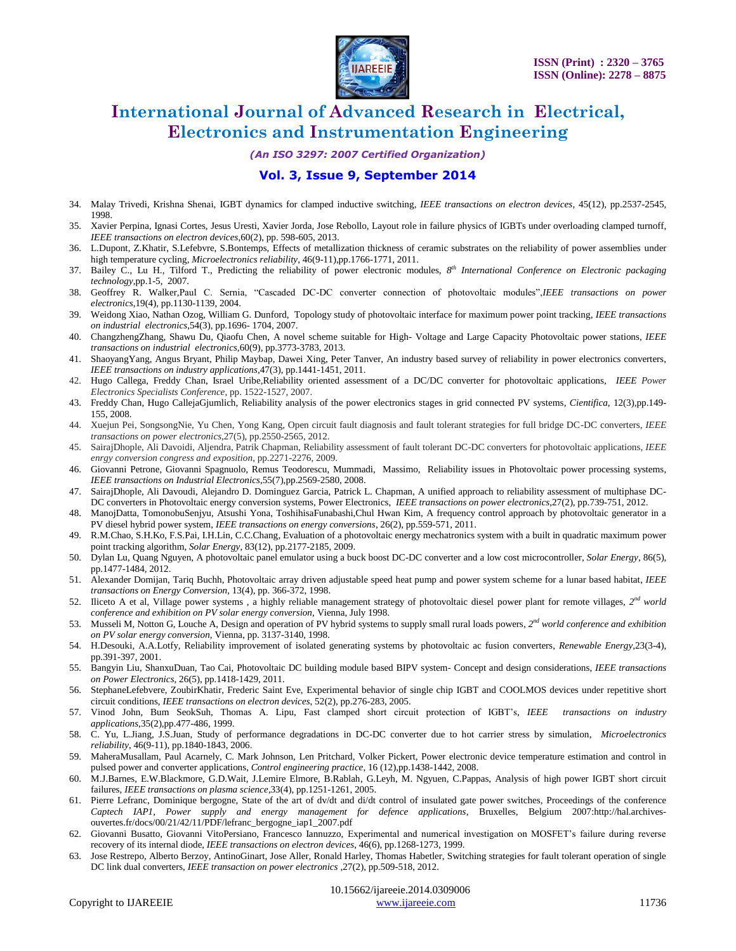

*(An ISO 3297: 2007 Certified Organization)*

### **Vol. 3, Issue 9, September 2014**

- 34. Malay Trivedi, Krishna Shenai, IGBT dynamics for clamped inductive switching, *IEEE transactions on electron devices*, 45(12), pp.2537-2545, 1998.
- 35. Xavier Perpina, Ignasi Cortes, Jesus Uresti, Xavier Jorda, Jose Rebollo, Layout role in failure physics of IGBTs under overloading clamped turnoff, *IEEE transactions on electron devices*,60(2), pp. 598-605, 2013.
- 36. L.Dupont, Z.Khatir, S.Lefebvre, S.Bontemps, Effects of metallization thickness of ceramic substrates on the reliability of power assemblies under high temperature cycling, *Microelectronics reliability*, 46(9-11),pp.1766-1771, 2011.
- 37. Bailey C., Lu H., Tilford T., Predicting the reliability of power electronic modules, *8 th International Conference on Electronic packaging technology*,pp.1-5, 2007.
- 38. Geoffrey R. Walker*,*Paul C. Sernia, "Cascaded DC-DC converter connection of photovoltaic modules",*IEEE transactions on power electronics*,19(4), pp.1130-1139, 2004.
- 39. Weidong Xiao, Nathan Ozog, William G. Dunford, Topology study of photovoltaic interface for maximum power point tracking, *IEEE transactions on industrial electronics*,54(3), pp.1696- 1704, 2007.
- 40. ChangzhengZhang, Shawu Du, Qiaofu Chen, A novel scheme suitable for High- Voltage and Large Capacity Photovoltaic power stations, *IEEE transactions on industrial electronics*,60(9), pp.3773-3783, 2013.
- 41. ShaoyangYang, Angus Bryant, Philip Maybap, Dawei Xing, Peter Tanver, An industry based survey of reliability in power electronics converters, *IEEE transactions on industry applications*,47(3), pp.1441-1451, 2011.
- 42. Hugo Callega, Freddy Chan, Israel Uribe,Reliability oriented assessment of a DC/DC converter for photovoltaic applications, *IEEE Power Electronics Specialists Conference*, pp. 1522-1527, 2007.
- 43. Freddy Chan, Hugo CallejaGjumlich, Reliability analysis of the power electronics stages in grid connected PV systems, *Cientifica*, 12(3),pp.149- 155, 2008.
- 44. Xuejun Pei, SongsongNie, Yu Chen, Yong Kang, Open circuit fault diagnosis and fault tolerant strategies for full bridge DC-DC converters, *IEEE transactions on power electronics*,27(5), pp.2550-2565, 2012.
- 45. SairajDhople, Ali Davoidi, Aljendra, Patrik Chapman, Reliability assessment of fault tolerant DC-DC converters for photovoltaic applications, *IEEE enrgy conversion congress and exposition*, pp.2271-2276, 2009.
- 46. Giovanni Petrone, Giovanni Spagnuolo, Remus Teodorescu, Mummadi, Massimo, Reliability issues in Photovoltaic power processing systems, *IEEE transactions on Industrial Electronics*,55(7),pp.2569-2580, 2008.
- 47. SairajDhople, Ali Davoudi, Alejandro D. Dominguez Garcia, Patrick L. Chapman, A unified approach to reliability assessment of multiphase DC-DC converters in Photovoltaic energy conversion systems, Power Electronics, *IEEE transactions on power electronics*,27(2), pp.739-751, 2012.
- 48. ManojDatta, TomonobuSenjyu, Atsushi Yona, ToshihisaFunabashi,Chul Hwan Kim, A frequency control approach by photovoltaic generator in a PV diesel hybrid power system, *IEEE transactions on energy conversions*, 26(2), pp.559-571, 2011.
- 49. R.M.Chao, S.H.Ko, F.S.Pai, I.H.Lin, C.C.Chang, Evaluation of a photovoltaic energy mechatronics system with a built in quadratic maximum power point tracking algorithm, *Solar Energy*, 83(12), pp.2177-2185, 2009.
- 50. Dylan Lu, Quang Nguyen, A photovoltaic panel emulator using a buck boost DC-DC converter and a low cost microcontroller, *Solar Energy*, 86(5), pp.1477-1484, 2012.
- 51. Alexander Domijan, Tariq Buchh, Photovoltaic array driven adjustable speed heat pump and power system scheme for a lunar based habitat, *IEEE transactions on Energy Conversion*, 13(4), pp. 366-372, 1998.
- 52. Iliceto A et al, Village power systems, a highly reliable management strategy of photovoltaic diesel power plant for remote villages,  $2^{nd}$  world *conference and exhibition on PV solar energy conversion,* Vienna, July 1998.
- 53. Musseli M, Notton G, Louche A, Design and operation of PV hybrid systems to supply small rural loads powers, 2<sup>nd</sup> world conference and exhibition *on PV solar energy conversion,* Vienna, pp. 3137-3140, 1998.
- 54. H.Desouki, A.A.Lotfy, Reliability improvement of isolated generating systems by photovoltaic ac fusion converters, *Renewable Energy*,23(3-4), pp.391-397, 2001.
- 55. Bangyin Liu, ShanxuDuan, Tao Cai, Photovoltaic DC building module based BIPV system- Concept and design considerations, *IEEE transactions on Power Electronics*, 26(5), pp.1418-1429, 2011.
- 56. StephaneLefebvere, ZoubirKhatir, Frederic Saint Eve, Experimental behavior of single chip IGBT and COOLMOS devices under repetitive short circuit conditions, *IEEE transactions on electron devices*, 52(2), pp.276-283, 2005.
- 57. Vinod John, Bum SeokSuh, Thomas A. Lipu, Fast clamped short circuit protection of IGBT"s, *IEEE transactions on industry applications*,35(2),pp.477-486, 1999.
- 58. C. Yu, L.Jiang, J.S.Juan, Study of performance degradations in DC-DC converter due to hot carrier stress by simulation, *Microelectronics reliability*, 46(9-11), pp.1840-1843, 2006.
- 59. MaheraMusallam, Paul Acarnely, C. Mark Johnson, Len Pritchard, Volker Pickert, Power electronic device temperature estimation and control in pulsed power and converter applications, *Control engineering practice*, 16 (12),pp.1438-1442, 2008.
- 60. M.J.Barnes, E.W.Blackmore, G.D.Wait, J.Lemire Elmore, B.Rablah, G.Leyh, M. Ngyuen, C.Pappas, Analysis of high power IGBT short circuit failures, *IEEE transactions on plasma science*,33(4), pp.1251-1261, 2005.
- 61. Pierre Lefranc, Dominique bergogne, State of the art of dv/dt and di/dt control of insulated gate power switches, Proceedings of the conference *Captech IAP1*, *Power supply and energy management for defence applications*, Bruxelles, Belgium 2007:http://hal.archivesouvertes.fr/docs/00/21/42/11/PDF/lefranc\_bergogne\_iap1\_2007.pdf
- 62. Giovanni Busatto, Giovanni VitoPersiano, Francesco Iannuzzo, Experimental and numerical investigation on MOSFET"s failure during reverse recovery of its internal diode, *IEEE transactions on electron devices*, 46(6), pp.1268-1273, 1999.
- 63. Jose Restrepo, Alberto Berzoy, AntinoGinart, Jose Aller, Ronald Harley, Thomas Habetler, Switching strategies for fault tolerant operation of single DC link dual converters, *IEEE transaction on power electronics* ,27(2), pp.509-518, 2012.